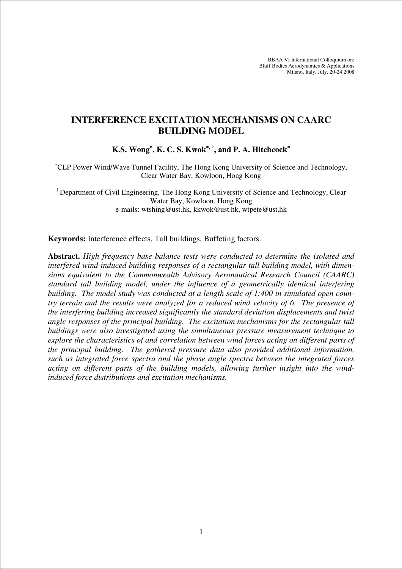BBAA VI International Colloquium on: Bluff Bodies Aerodynamics & Applications Milano, Italy, July, 20-24 2008

# **INTERFERENCE EXCITATION MECHANISMS ON CAARC BUILDING MODEL**

**K.S. Wong**<sup>∗</sup>**, K. C. S. Kwok**<sup>∗</sup>**, †, and P. A. Hitchcock**<sup>∗</sup>

<sup>∗</sup>CLP Power Wind/Wave Tunnel Facility, The Hong Kong University of Science and Technology, Clear Water Bay, Kowloon, Hong Kong

† Department of Civil Engineering, The Hong Kong University of Science and Technology, Clear Water Bay, Kowloon, Hong Kong e-mails: wtshing@ust.hk, kkwok@ust.hk, wtpete@ust.hk

**Keywords:** Interference effects, Tall buildings, Buffeting factors.

**Abstract.** *High frequency base balance tests were conducted to determine the isolated and interfered wind-induced building responses of a rectangular tall building model, with dimensions equivalent to the Commonwealth Advisory Aeronautical Research Council (CAARC) standard tall building model, under the influence of a geometrically identical interfering building. The model study was conducted at a length scale of 1:400 in simulated open country terrain and the results were analyzed for a reduced wind velocity of 6. The presence of the interfering building increased significantly the standard deviation displacements and twist angle responses of the principal building. The excitation mechanisms for the rectangular tall buildings were also investigated using the simultaneous pressure measurement technique to explore the characteristics of and correlation between wind forces acting on different parts of the principal building. The gathered pressure data also provided additional information, such as integrated force spectra and the phase angle spectra between the integrated forces acting on different parts of the building models, allowing further insight into the windinduced force distributions and excitation mechanisms.*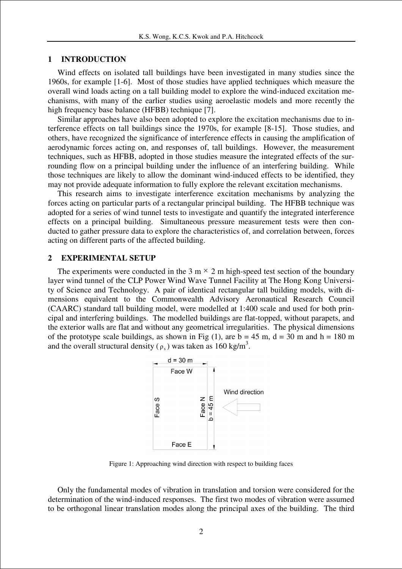#### **1 INTRODUCTION**

Wind effects on isolated tall buildings have been investigated in many studies since the 1960s, for example [1-6]. Most of those studies have applied techniques which measure the overall wind loads acting on a tall building model to explore the wind-induced excitation mechanisms, with many of the earlier studies using aeroelastic models and more recently the high frequency base balance (HFBB) technique [7].

Similar approaches have also been adopted to explore the excitation mechanisms due to interference effects on tall buildings since the 1970s, for example [8-15]. Those studies, and others, have recognized the significance of interference effects in causing the amplification of aerodynamic forces acting on, and responses of, tall buildings. However, the measurement techniques, such as HFBB, adopted in those studies measure the integrated effects of the surrounding flow on a principal building under the influence of an interfering building. While those techniques are likely to allow the dominant wind-induced effects to be identified, they may not provide adequate information to fully explore the relevant excitation mechanisms.

This research aims to investigate interference excitation mechanisms by analyzing the forces acting on particular parts of a rectangular principal building. The HFBB technique was adopted for a series of wind tunnel tests to investigate and quantify the integrated interference effects on a principal building. Simultaneous pressure measurement tests were then conducted to gather pressure data to explore the characteristics of, and correlation between, forces acting on different parts of the affected building.

#### **2 EXPERIMENTAL SETUP**

The experiments were conducted in the 3 m  $\times$  2 m high-speed test section of the boundary layer wind tunnel of the CLP Power Wind Wave Tunnel Facility at The Hong Kong University of Science and Technology. A pair of identical rectangular tall building models, with dimensions equivalent to the Commonwealth Advisory Aeronautical Research Council (CAARC) standard tall building model, were modelled at 1:400 scale and used for both principal and interfering buildings. The modelled buildings are flat-topped, without parapets, and the exterior walls are flat and without any geometrical irregularities. The physical dimensions of the prototype scale buildings, as shown in Fig  $(1)$ , are  $b = 45$  m,  $d = 30$  m and  $h = 180$  m and the overall structural density ( $\rho_s$ ) was taken as 160 kg/m<sup>3</sup>.



Figure 1: Approaching wind direction with respect to building faces

Only the fundamental modes of vibration in translation and torsion were considered for the determination of the wind-induced responses. The first two modes of vibration were assumed to be orthogonal linear translation modes along the principal axes of the building. The third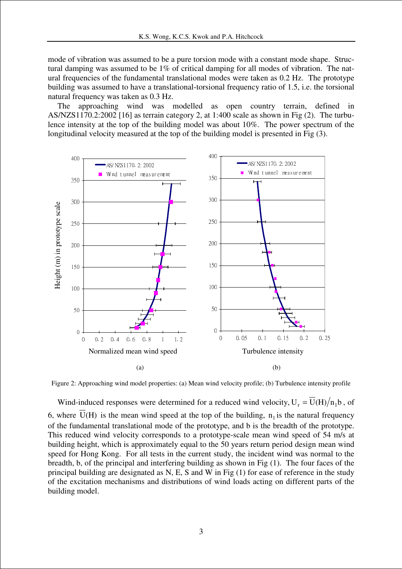mode of vibration was assumed to be a pure torsion mode with a constant mode shape. Structural damping was assumed to be 1% of critical damping for all modes of vibration. The natural frequencies of the fundamental translational modes were taken as 0.2 Hz. The prototype building was assumed to have a translational-torsional frequency ratio of 1.5, i.e. the torsional natural frequency was taken as 0.3 Hz.

The approaching wind was modelled as open country terrain, defined in AS/NZS1170.2:2002 [16] as terrain category 2, at 1:400 scale as shown in Fig (2). The turbulence intensity at the top of the building model was about 10%. The power spectrum of the longitudinal velocity measured at the top of the building model is presented in Fig (3).



Figure 2: Approaching wind model properties: (a) Mean wind velocity profile; (b) Turbulence intensity profile

Wind-induced responses were determined for a reduced wind velocity,  $U_r = \overline{U}(H)/n_1 b$ , of 6, where U(H) is the mean wind speed at the top of the building,  $n_1$  is the natural frequency of the fundamental translational mode of the prototype, and b is the breadth of the prototype. This reduced wind velocity corresponds to a prototype-scale mean wind speed of 54 m/s at building height, which is approximately equal to the 50 years return period design mean wind speed for Hong Kong. For all tests in the current study, the incident wind was normal to the breadth, b, of the principal and interfering building as shown in Fig (1). The four faces of the principal building are designated as N, E, S and W in Fig (1) for ease of reference in the study of the excitation mechanisms and distributions of wind loads acting on different parts of the building model.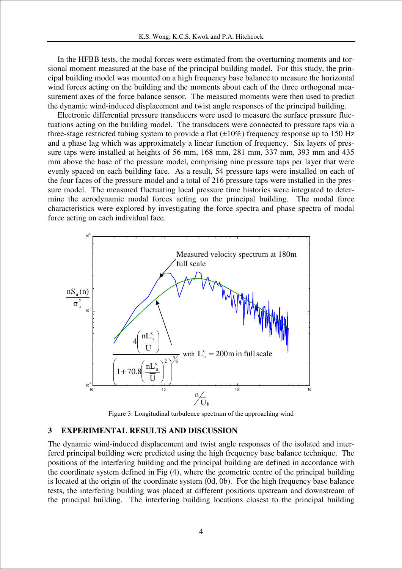In the HFBB tests, the modal forces were estimated from the overturning moments and torsional moment measured at the base of the principal building model. For this study, the principal building model was mounted on a high frequency base balance to measure the horizontal wind forces acting on the building and the moments about each of the three orthogonal measurement axes of the force balance sensor. The measured moments were then used to predict the dynamic wind-induced displacement and twist angle responses of the principal building.

Electronic differential pressure transducers were used to measure the surface pressure fluctuations acting on the building model. The transducers were connected to pressure taps via a three-stage restricted tubing system to provide a flat  $(\pm 10\%)$  frequency response up to 150 Hz and a phase lag which was approximately a linear function of frequency. Six layers of pressure taps were installed at heights of 56 mm, 168 mm, 281 mm, 337 mm, 393 mm and 435 mm above the base of the pressure model, comprising nine pressure taps per layer that were evenly spaced on each building face. As a result, 54 pressure taps were installed on each of the four faces of the pressure model and a total of 216 pressure taps were installed in the pressure model. The measured fluctuating local pressure time histories were integrated to determine the aerodynamic modal forces acting on the principal building. The modal force characteristics were explored by investigating the force spectra and phase spectra of modal force acting on each individual face.



Figure 3: Longitudinal turbulence spectrum of the approaching wind

## **3 EXPERIMENTAL RESULTS AND DISCUSSION**

The dynamic wind-induced displacement and twist angle responses of the isolated and interfered principal building were predicted using the high frequency base balance technique. The positions of the interfering building and the principal building are defined in accordance with the coordinate system defined in Fig (4), where the geometric centre of the principal building is located at the origin of the coordinate system (0d, 0b). For the high frequency base balance tests, the interfering building was placed at different positions upstream and downstream of the principal building. The interfering building locations closest to the principal building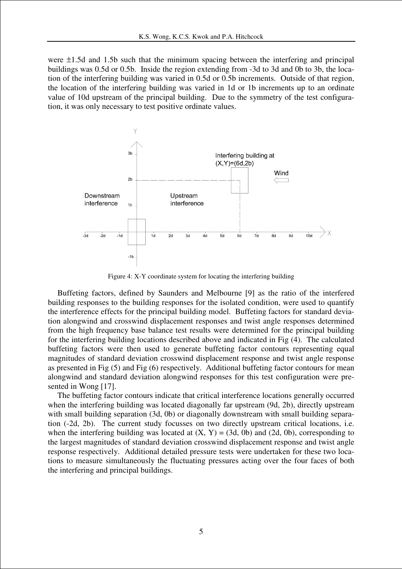were ±1.5d and 1.5b such that the minimum spacing between the interfering and principal buildings was 0.5d or 0.5b. Inside the region extending from -3d to 3d and 0b to 3b, the location of the interfering building was varied in 0.5d or 0.5b increments. Outside of that region, the location of the interfering building was varied in 1d or 1b increments up to an ordinate value of 10d upstream of the principal building. Due to the symmetry of the test configuration, it was only necessary to test positive ordinate values.



Figure 4: X-Y coordinate system for locating the interfering building

Buffeting factors, defined by Saunders and Melbourne [9] as the ratio of the interfered building responses to the building responses for the isolated condition, were used to quantify the interference effects for the principal building model. Buffeting factors for standard deviation alongwind and crosswind displacement responses and twist angle responses determined from the high frequency base balance test results were determined for the principal building for the interfering building locations described above and indicated in Fig (4). The calculated buffeting factors were then used to generate buffeting factor contours representing equal magnitudes of standard deviation crosswind displacement response and twist angle response as presented in Fig (5) and Fig (6) respectively. Additional buffeting factor contours for mean alongwind and standard deviation alongwind responses for this test configuration were presented in Wong [17].

The buffeting factor contours indicate that critical interference locations generally occurred when the interfering building was located diagonally far upstream (9d, 2b), directly upstream with small building separation (3d, 0b) or diagonally downstream with small building separation (-2d, 2b). The current study focusses on two directly upstream critical locations, i.e. when the interfering building was located at  $(X, Y) = (3d, 0b)$  and  $(2d, 0b)$ , corresponding to the largest magnitudes of standard deviation crosswind displacement response and twist angle response respectively. Additional detailed pressure tests were undertaken for these two locations to measure simultaneously the fluctuating pressures acting over the four faces of both the interfering and principal buildings.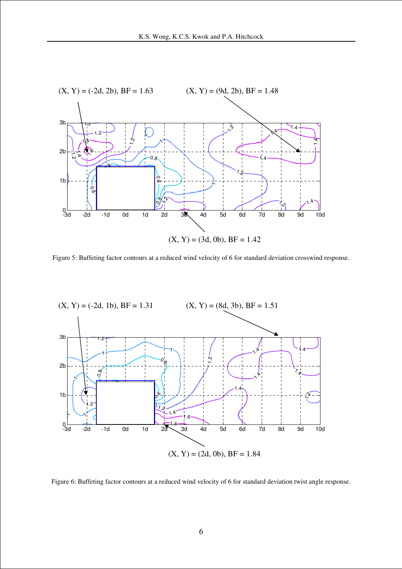

Figure 5: Buffeting factor contours at a reduced wind velocity of 6 for standard deviation crosswind response.



Figure 6: Buffeting factor contours at a reduced wind velocity of 6 for standard deviation twist angle response.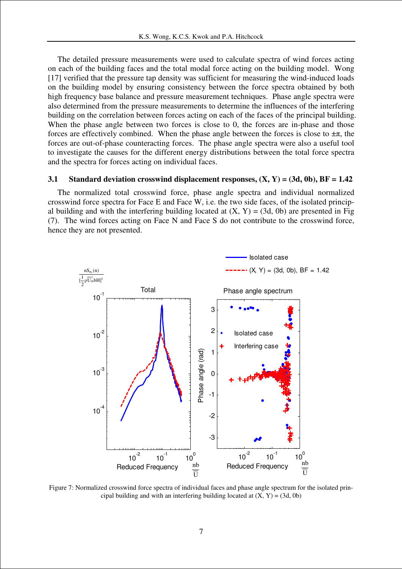The detailed pressure measurements were used to calculate spectra of wind forces acting on each of the building faces and the total modal force acting on the building model. Wong [17] verified that the pressure tap density was sufficient for measuring the wind-induced loads on the building model by ensuring consistency between the force spectra obtained by both high frequency base balance and pressure measurement techniques. Phase angle spectra were also determined from the pressure measurements to determine the influences of the interfering building on the correlation between forces acting on each of the faces of the principal building. When the phase angle between two forces is close to 0, the forces are in-phase and those forces are effectively combined. When the phase angle between the forces is close to  $\pm \pi$ , the forces are out-of-phase counteracting forces. The phase angle spectra were also a useful tool to investigate the causes for the different energy distributions between the total force spectra and the spectra for forces acting on individual faces.

#### **3.1 Standard deviation crosswind displacement responses, (X, Y) = (3d, 0b), BF = 1.42**

The normalized total crosswind force, phase angle spectra and individual normalized crosswind force spectra for Face E and Face W, i.e. the two side faces, of the isolated principal building and with the interfering building located at  $(X, Y) = (3d, 0b)$  are presented in Fig (7). The wind forces acting on Face N and Face S do not contribute to the crosswind force, hence they are not presented.



Figure 7: Normalized crosswind force spectra of individual faces and phase angle spectrum for the isolated principal building and with an interfering building located at  $(X, Y) = (3d, 0b)$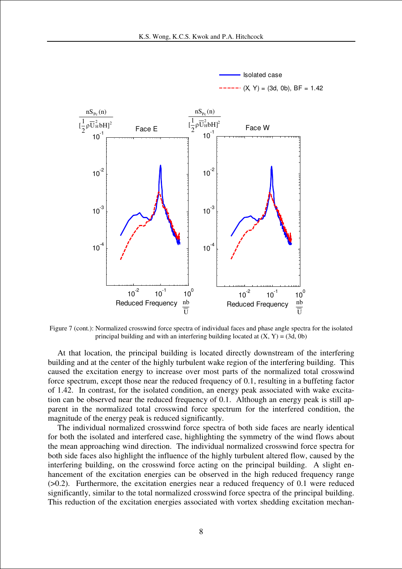



Figure 7 (cont.): Normalized crosswind force spectra of individual faces and phase angle spectra for the isolated principal building and with an interfering building located at  $(X, Y) = (3d, 0b)$ 

At that location, the principal building is located directly downstream of the interfering building and at the center of the highly turbulent wake region of the interfering building. This caused the excitation energy to increase over most parts of the normalized total crosswind force spectrum, except those near the reduced frequency of 0.1, resulting in a buffeting factor of 1.42. In contrast, for the isolated condition, an energy peak associated with wake excitation can be observed near the reduced frequency of 0.1. Although an energy peak is still apparent in the normalized total crosswind force spectrum for the interfered condition, the magnitude of the energy peak is reduced significantly.

The individual normalized crosswind force spectra of both side faces are nearly identical for both the isolated and interfered case, highlighting the symmetry of the wind flows about the mean approaching wind direction. The individual normalized crosswind force spectra for both side faces also highlight the influence of the highly turbulent altered flow, caused by the interfering building, on the crosswind force acting on the principal building. A slight enhancement of the excitation energies can be observed in the high reduced frequency range (>0.2). Furthermore, the excitation energies near a reduced frequency of 0.1 were reduced significantly, similar to the total normalized crosswind force spectra of the principal building. This reduction of the excitation energies associated with vortex shedding excitation mechan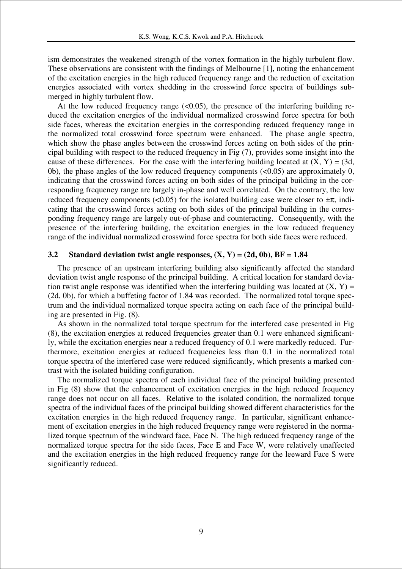ism demonstrates the weakened strength of the vortex formation in the highly turbulent flow. These observations are consistent with the findings of Melbourne [1], noting the enhancement of the excitation energies in the high reduced frequency range and the reduction of excitation energies associated with vortex shedding in the crosswind force spectra of buildings submerged in highly turbulent flow.

At the low reduced frequency range  $( $0.05$ ), the presence of the interfering building re$ duced the excitation energies of the individual normalized crosswind force spectra for both side faces, whereas the excitation energies in the corresponding reduced frequency range in the normalized total crosswind force spectrum were enhanced. The phase angle spectra, which show the phase angles between the crosswind forces acting on both sides of the principal building with respect to the reduced frequency in Fig (7), provides some insight into the cause of these differences. For the case with the interfering building located at  $(X, Y) = (3d,$ 0b), the phase angles of the low reduced frequency components (<0.05) are approximately 0, indicating that the crosswind forces acting on both sides of the principal building in the corresponding frequency range are largely in-phase and well correlated. On the contrary, the low reduced frequency components (<0.05) for the isolated building case were closer to  $\pm \pi$ , indicating that the crosswind forces acting on both sides of the principal building in the corresponding frequency range are largely out-of-phase and counteracting. Consequently, with the presence of the interfering building, the excitation energies in the low reduced frequency range of the individual normalized crosswind force spectra for both side faces were reduced.

### **3.2 Standard deviation twist angle responses, (X, Y) = (2d, 0b), BF = 1.84**

The presence of an upstream interfering building also significantly affected the standard deviation twist angle response of the principal building. A critical location for standard deviation twist angle response was identified when the interfering building was located at  $(X, Y)$  = (2d, 0b), for which a buffeting factor of 1.84 was recorded. The normalized total torque spectrum and the individual normalized torque spectra acting on each face of the principal building are presented in Fig. (8).

As shown in the normalized total torque spectrum for the interfered case presented in Fig (8), the excitation energies at reduced frequencies greater than 0.1 were enhanced significantly, while the excitation energies near a reduced frequency of 0.1 were markedly reduced. Furthermore, excitation energies at reduced frequencies less than 0.1 in the normalized total torque spectra of the interfered case were reduced significantly, which presents a marked contrast with the isolated building configuration.

The normalized torque spectra of each individual face of the principal building presented in Fig (8) show that the enhancement of excitation energies in the high reduced frequency range does not occur on all faces. Relative to the isolated condition, the normalized torque spectra of the individual faces of the principal building showed different characteristics for the excitation energies in the high reduced frequency range. In particular, significant enhancement of excitation energies in the high reduced frequency range were registered in the normalized torque spectrum of the windward face, Face N. The high reduced frequency range of the normalized torque spectra for the side faces, Face E and Face W, were relatively unaffected and the excitation energies in the high reduced frequency range for the leeward Face S were significantly reduced.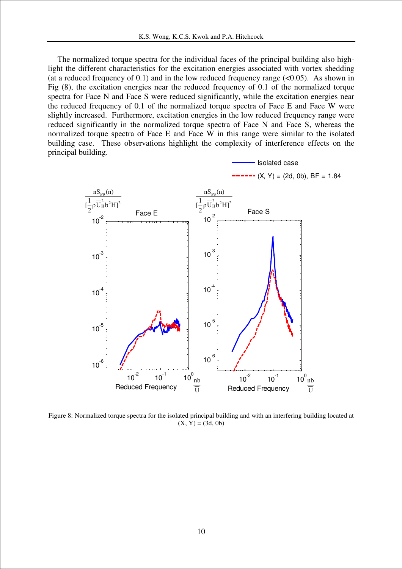The normalized torque spectra for the individual faces of the principal building also highlight the different characteristics for the excitation energies associated with vortex shedding (at a reduced frequency of 0.1) and in the low reduced frequency range  $(<0.05)$ . As shown in Fig (8), the excitation energies near the reduced frequency of 0.1 of the normalized torque spectra for Face N and Face S were reduced significantly, while the excitation energies near the reduced frequency of 0.1 of the normalized torque spectra of Face E and Face W were slightly increased. Furthermore, excitation energies in the low reduced frequency range were reduced significantly in the normalized torque spectra of Face N and Face S, whereas the normalized torque spectra of Face E and Face W in this range were similar to the isolated building case. These observations highlight the complexity of interference effects on the principal building.



Figure 8: Normalized torque spectra for the isolated principal building and with an interfering building located at  $(X, Y) = (3d, 0b)$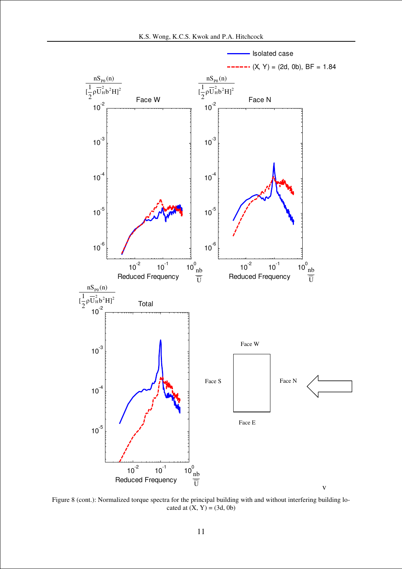

Figure 8 (cont.): Normalized torque spectra for the principal building with and without interfering building located at  $(X, Y) = (3d, 0b)$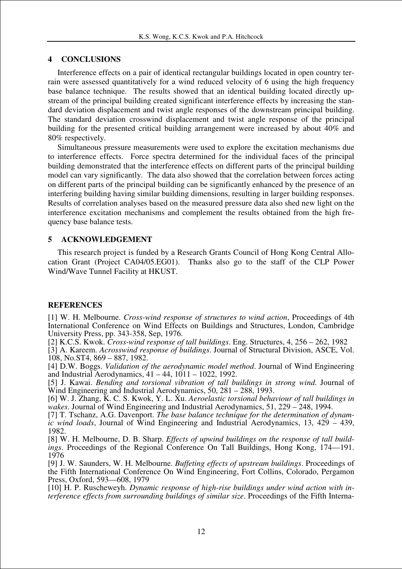# **4 CONCLUSIONS**

Interference effects on a pair of identical rectangular buildings located in open country terrain were assessed quantitatively for a wind reduced velocity of 6 using the high frequency base balance technique. The results showed that an identical building located directly upstream of the principal building created significant interference effects by increasing the standard deviation displacement and twist angle responses of the downstream principal building. The standard deviation crosswind displacement and twist angle response of the principal building for the presented critical building arrangement were increased by about 40% and 80% respectively.

Simultaneous pressure measurements were used to explore the excitation mechanisms due to interference effects. Force spectra determined for the individual faces of the principal building demonstrated that the interference effects on different parts of the principal building model can vary significantly. The data also showed that the correlation between forces acting on different parts of the principal building can be significantly enhanced by the presence of an interfering building having similar building dimensions, resulting in larger building responses. Results of correlation analyses based on the measured pressure data also shed new light on the interference excitation mechanisms and complement the results obtained from the high frequency base balance tests.

# **5 ACKNOWLEDGEMENT**

This research project is funded by a Research Grants Council of Hong Kong Central Allocation Grant (Project CA04/05.EG01). Thanks also go to the staff of the CLP Power Wind/Wave Tunnel Facility at HKUST.

## **REFERENCES**

[1] W. H. Melbourne. *Cross-wind response of structures to wind action*, Proceedings of 4th International Conference on Wind Effects on Buildings and Structures, London, Cambridge University Press, pp. 343-358, Sep, 1976.

[2] K.C.S. Kwok. *Cross-wind response of tall buildings*. Eng. Structures, 4, 256 – 262, 1982

[3] A. Kareem. *Acrosswind response of buildings*. Journal of Structural Division, ASCE, Vol. 108, No.ST4, 869 – 887, 1982.

[4] D.W. Boggs. *Validation of the aerodynamic model method*. Journal of Wind Engineering and Industrial Aerodynamics, 41 – 44, 1011 – 1022, 1992.

[5] J. Kawai. *Bending and torsional vibration of tall buildings in strong wind.* Journal of Wind Engineering and Industrial Aerodynamics, 50, 281 – 288, 1993.

[6] W. J. Zhang, K. C. S. Kwok, Y. L. Xu. *Aeroelastic torsional behaviour of tall buildings in wakes*. Journal of Wind Engineering and Industrial Aerodynamics, 51, 229 – 248, 1994.

[7] T. Tschanz, A.G. Davenport. *The base balance technique for the determination of dynamic wind loads*, Journal of Wind Engineering and Industrial Aerodynamics, 13, 429 – 439, 1982.

[8] W. H. Melbourne, D. B. Sharp. *Effects of upwind buildings on the response of tall buildings*. Proceedings of the Regional Conference On Tall Buildings, Hong Kong, 174—191. 1976

[9] J. W. Saunders, W. H. Melbourne. *Buffeting effects of upstream buildings*. Proceedings of the Fifth International Conference On Wind Engineering, Fort Collins, Colorado, Pergamon Press, Oxford, 593—608, 1979

[10] H. P. Ruscheweyh. *Dynamic response of high-rise buildings under wind action with interference effects from surrounding buildings of similar size*. Proceedings of the Fifth Interna